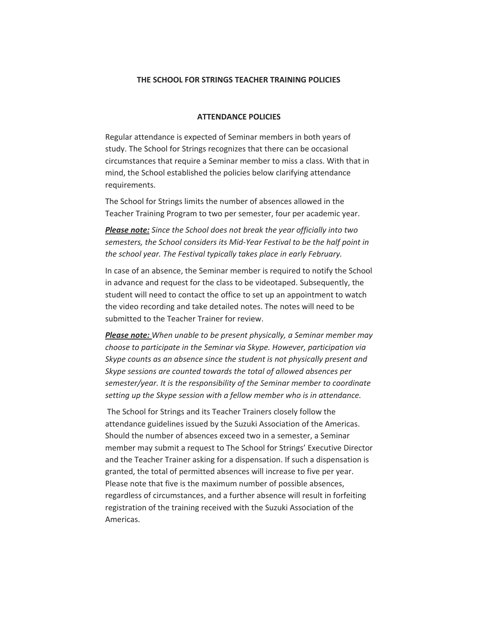## **THE SCHOOL FOR STRINGS TEACHER TRAINING POLICIES**

## **ATTENDANCE POLICIES**

Regular attendance is expected of Seminar members in both years of study. The School for Strings recognizes that there can be occasional circumstances that require a Seminar member to miss a class. With that in mind, the School established the policies below clarifying attendance requirements.

The School for Strings limits the number of absences allowed in the Teacher Training Program to two per semester, four per academic year.

*Please note: Since the School does not break the year officially into two semesters, the School considers its Mid-Year Festival to be the half point in the school year. The Festival typically takes place in early February.*

In case of an absence, the Seminar member is required to notify the School in advance and request for the class to be videotaped. Subsequently, the student will need to contact the office to set up an appointment to watch the video recording and take detailed notes. The notes will need to be submitted to the Teacher Trainer for review.

*Please note: When unable to be present physically, a Seminar member may choose to participate in the Seminar via Skype. However, participation via Skype counts as an absence since the student is not physically present and Skype sessions are counted towards the total of allowed absences per semester/year. It is the responsibility of the Seminar member to coordinate setting up the Skype session with a fellow member who is in attendance.*

The School for Strings and its Teacher Trainers closely follow the attendance guidelines issued by the Suzuki Association of the Americas. Should the number of absences exceed two in a semester, a Seminar member may submit a request to The School for Strings' Executive Director and the Teacher Trainer asking for a dispensation. If such a dispensation is granted, the total of permitted absences will increase to five per year. Please note that five is the maximum number of possible absences, regardless of circumstances, and a further absence will result in forfeiting registration of the training received with the Suzuki Association of the Americas.